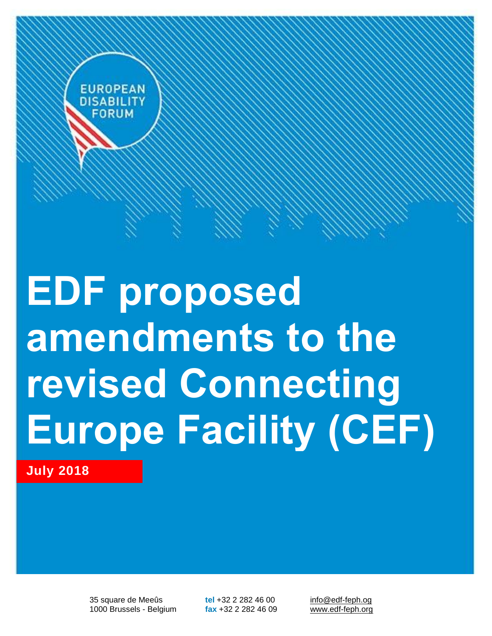

# <span id="page-0-0"></span>**EDF proposed amendments to the revised Connecting Europe Facility (CEF)**

**July 2018**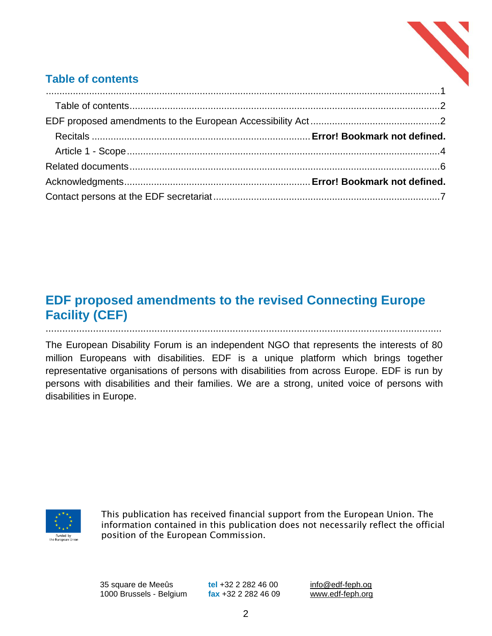

## <span id="page-1-0"></span>**Table of contents**

# <span id="page-1-1"></span>**EDF proposed amendments to the revised Connecting Europe Facility (CEF)**

The European Disability Forum is an independent NGO that represents the interests of 80 million Europeans with disabilities. EDF is a unique platform which brings together representative organisations of persons with disabilities from across Europe. EDF is run by persons with disabilities and their families. We are a strong, united voice of persons with disabilities in Europe.



This publication has received financial support from the European Union. The information contained in this publication does not necessarily reflect the official position of the European Commission.

35 square de Meeûs **tel** +32 2 282 46 00 [info@edf-feph.og](mailto:info@edf-feph.og) 1000 Brussels - Belgium **fax** +32 2 282 46 09 [www.edf-feph.org](http://www.edf-feph.org/)

..............................................................................................................................................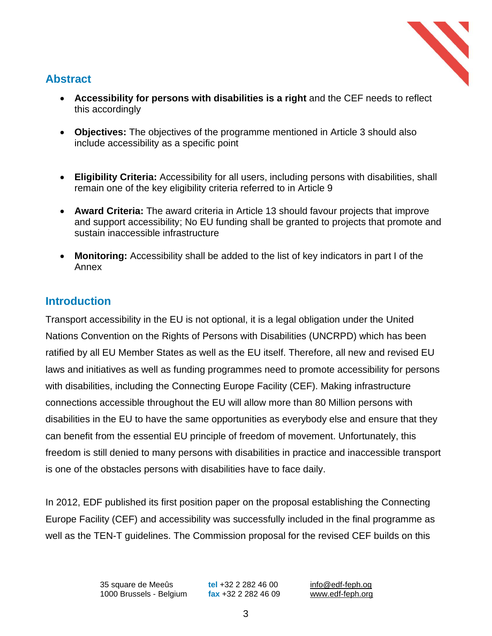

#### **Abstract**

- **Accessibility for persons with disabilities is a right** and the CEF needs to reflect this accordingly
- **Objectives:** The objectives of the programme mentioned in Article 3 should also include accessibility as a specific point
- **Eligibility Criteria:** Accessibility for all users, including persons with disabilities, shall remain one of the key eligibility criteria referred to in Article 9
- **Award Criteria:** The award criteria in Article 13 should favour projects that improve and support accessibility; No EU funding shall be granted to projects that promote and sustain inaccessible infrastructure
- **Monitoring:** Accessibility shall be added to the list of key indicators in part I of the Annex

#### **Introduction**

Transport accessibility in the EU is not optional, it is a legal obligation under the United Nations Convention on the Rights of Persons with Disabilities (UNCRPD) which has been ratified by all EU Member States as well as the EU itself. Therefore, all new and revised EU laws and initiatives as well as funding programmes need to promote accessibility for persons with disabilities, including the Connecting Europe Facility (CEF). Making infrastructure connections accessible throughout the EU will allow more than 80 Million persons with disabilities in the EU to have the same opportunities as everybody else and ensure that they can benefit from the essential EU principle of freedom of movement. Unfortunately, this freedom is still denied to many persons with disabilities in practice and inaccessible transport is one of the obstacles persons with disabilities have to face daily.

In 2012, EDF published its first position paper on the proposal establishing the Connecting Europe Facility (CEF) and accessibility was successfully included in the final programme as well as the TEN-T guidelines. The Commission proposal for the revised CEF builds on this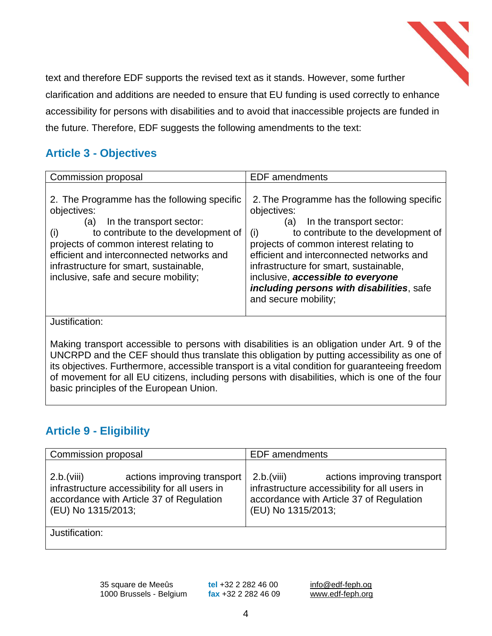

text and therefore EDF supports the revised text as it stands. However, some further clarification and additions are needed to ensure that EU funding is used correctly to enhance accessibility for persons with disabilities and to avoid that inaccessible projects are funded in the future. Therefore, EDF suggests the following amendments to the text:

## <span id="page-3-0"></span>**Article 3 - Objectives**

| Commission proposal                                                                                                                                                                                                                                                                                                   | <b>EDF</b> amendments                                                                                                                                                                                                                                                                                                                                                                   |
|-----------------------------------------------------------------------------------------------------------------------------------------------------------------------------------------------------------------------------------------------------------------------------------------------------------------------|-----------------------------------------------------------------------------------------------------------------------------------------------------------------------------------------------------------------------------------------------------------------------------------------------------------------------------------------------------------------------------------------|
| 2. The Programme has the following specific<br>objectives:<br>In the transport sector:<br>(a)<br>to contribute to the development of<br>(i)<br>projects of common interest relating to<br>efficient and interconnected networks and<br>infrastructure for smart, sustainable,<br>inclusive, safe and secure mobility; | 2. The Programme has the following specific<br>objectives:<br>In the transport sector:<br>(a)<br>to contribute to the development of<br>(i)<br>projects of common interest relating to<br>efficient and interconnected networks and<br>infrastructure for smart, sustainable,<br>inclusive, accessible to everyone<br>including persons with disabilities, safe<br>and secure mobility; |

Justification:

Making transport accessible to persons with disabilities is an obligation under Art. 9 of the UNCRPD and the CEF should thus translate this obligation by putting accessibility as one of its objectives. Furthermore, accessible transport is a vital condition for guaranteeing freedom of movement for all EU citizens, including persons with disabilities, which is one of the four basic principles of the European Union.

#### **Article 9 - Eligibility**

| Commission proposal                                                                                                                                          | <b>EDF</b> amendments                                                                                                                                        |
|--------------------------------------------------------------------------------------------------------------------------------------------------------------|--------------------------------------------------------------------------------------------------------------------------------------------------------------|
| actions improving transport<br>2.b.(viii)<br>infrastructure accessibility for all users in<br>accordance with Article 37 of Regulation<br>(EU) No 1315/2013; | actions improving transport<br>2.b.(viii)<br>infrastructure accessibility for all users in<br>accordance with Article 37 of Regulation<br>(EU) No 1315/2013; |
| Justification:                                                                                                                                               |                                                                                                                                                              |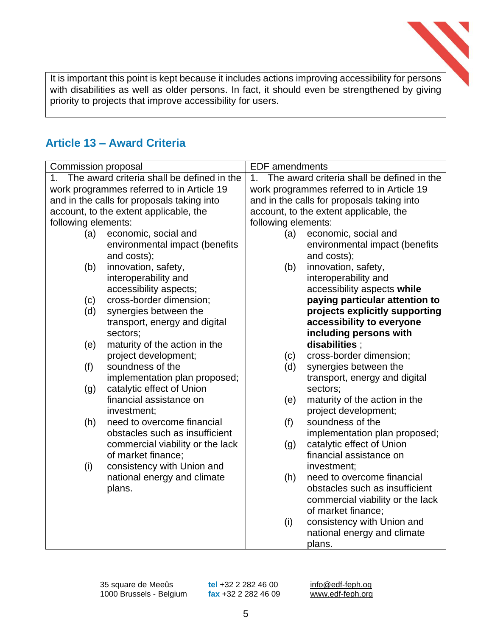

It is important this point is kept because it includes actions improving accessibility for persons with disabilities as well as older persons. In fact, it should even be strengthened by giving priority to projects that improve accessibility for users.

## **Article 13 – Award Criteria**

| Commission proposal |                                               | <b>EDF</b> amendments |                                            |
|---------------------|-----------------------------------------------|-----------------------|--------------------------------------------|
|                     | 1. The award criteria shall be defined in the | 1 <sub>1</sub>        | The award criteria shall be defined in the |
|                     | work programmes referred to in Article 19     |                       | work programmes referred to in Article 19  |
|                     | and in the calls for proposals taking into    |                       | and in the calls for proposals taking into |
|                     | account, to the extent applicable, the        |                       | account, to the extent applicable, the     |
| following elements: |                                               | following elements:   |                                            |
| (a)                 | economic, social and                          | (a)                   | economic, social and                       |
|                     | environmental impact (benefits                |                       | environmental impact (benefits             |
|                     | and costs);                                   |                       | and costs);                                |
| (b)                 | innovation, safety,                           | (b)                   | innovation, safety,                        |
|                     | interoperability and                          |                       | interoperability and                       |
|                     | accessibility aspects;                        |                       | accessibility aspects while                |
| (c)                 | cross-border dimension;                       |                       | paying particular attention to             |
| (d)                 | synergies between the                         |                       | projects explicitly supporting             |
|                     | transport, energy and digital                 |                       | accessibility to everyone                  |
|                     | sectors;                                      |                       | including persons with                     |
| (e)                 | maturity of the action in the                 |                       | disabilities :                             |
|                     | project development;                          | (c)                   | cross-border dimension;                    |
| (f)                 | soundness of the                              | (d)                   | synergies between the                      |
|                     | implementation plan proposed;                 |                       | transport, energy and digital              |
| (g)                 | catalytic effect of Union                     |                       | sectors;                                   |
|                     | financial assistance on                       | (e)                   | maturity of the action in the              |
|                     | investment;                                   |                       | project development;                       |
| (h)                 | need to overcome financial                    | (f)                   | soundness of the                           |
|                     | obstacles such as insufficient                |                       | implementation plan proposed;              |
|                     | commercial viability or the lack              | (g)                   | catalytic effect of Union                  |
|                     | of market finance;                            |                       | financial assistance on                    |
| (i)                 | consistency with Union and                    |                       | investment;<br>need to overcome financial  |
|                     | national energy and climate                   | (h)                   | obstacles such as insufficient             |
|                     | plans.                                        |                       | commercial viability or the lack           |
|                     |                                               |                       | of market finance;                         |
|                     |                                               | (i)                   | consistency with Union and                 |
|                     |                                               |                       | national energy and climate                |
|                     |                                               |                       | plans.                                     |
|                     |                                               |                       |                                            |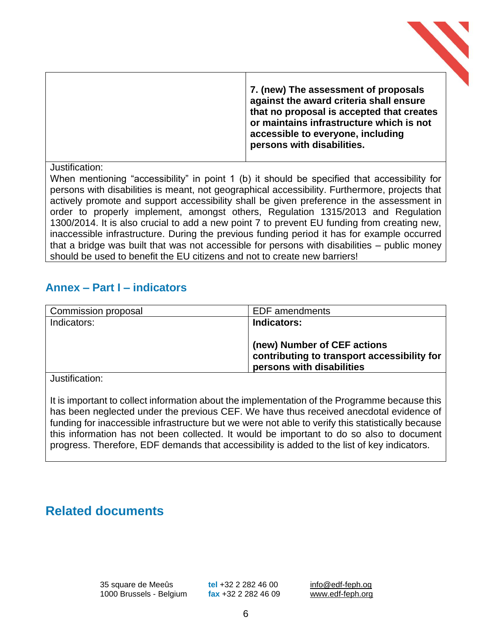

**7. (new) The assessment of proposals against the award criteria shall ensure that no proposal is accepted that creates or maintains infrastructure which is not accessible to everyone, including persons with disabilities.**

Justification:

When mentioning "accessibility" in point 1 (b) it should be specified that accessibility for persons with disabilities is meant, not geographical accessibility. Furthermore, projects that actively promote and support accessibility shall be given preference in the assessment in order to properly implement, amongst others, Regulation 1315/2013 and Regulation 1300/2014. It is also crucial to add a new point 7 to prevent EU funding from creating new, inaccessible infrastructure. During the previous funding period it has for example occurred that a bridge was built that was not accessible for persons with disabilities – public money should be used to benefit the EU citizens and not to create new barriers!

#### **Annex – Part I – indicators**

| Commission proposal | <b>EDF</b> amendments                       |
|---------------------|---------------------------------------------|
| Indicators:         | Indicators:                                 |
|                     |                                             |
|                     | (new) Number of CEF actions                 |
|                     | contributing to transport accessibility for |
|                     | persons with disabilities                   |

Justification:

It is important to collect information about the implementation of the Programme because this has been neglected under the previous CEF. We have thus received anecdotal evidence of funding for inaccessible infrastructure but we were not able to verify this statistically because this information has not been collected. It would be important to do so also to document progress. Therefore, EDF demands that accessibility is added to the list of key indicators.

## <span id="page-5-0"></span>**Related documents**